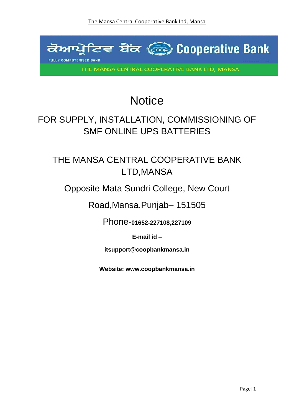

# **Notice**

# FOR SUPPLY, INSTALLATION, COMMISSIONING OF SMF ONLINE UPS BATTERIES

# THE MANSA CENTRAL COOPERATIVE BANK LTD,MANSA

### Opposite Mata Sundri College, New Court

### Road,Mansa,Punjab– 151505

Phone-**01652-227108,227109**

**E-mail id –**

**itsupport@coopbankmansa.in**

**Website: [www.coopbankmansa.in](http://www.coopbankmansa.in/)**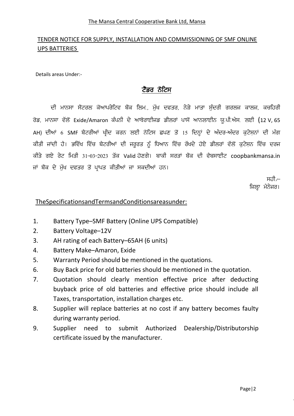#### The Mansa Central Cooperative Bank Ltd, Mansa

#### TENDER NOTICE FOR SUPPLY, INSTALLATION AND COMMISSIONING OF SMF ONLINE UPS BATTERIES

Details areas Under:-

#### ਟੈਂਡਰ ਨੋਟਿਸ

ਦੀ ਮਾਨਸਾ ਸੈਂਟਰਲ ਕੋਆਪਰੇਟਿਵ ਬੈਂਕ ਲਿਮ., ਮੱਖ ਦਫਤਰ, ਨੇੜੇ ਮਾਤਾ ਸੰਦਰੀ ਗਰਲਜ ਕਾਲਜ, ਕਚਹਿਰੀ ਰੋਡ, ਮਾਨਸਾ ਵੱਲੋਂ Exide/Amaron ਕੰਪਨੀ ਦੇ ਆਥੋਰਾਈਜਡ ਡੀਲਰਾਂ ਪਾਸੋਂ ਆਨਲਾਈਨ ਯੂ.ਪੀ.ਐਸ. ਲਈ (12 V, 65 AH) ਦੀਆਂ 6 SMF ਬੈਟਰੀਆਂ ਖੀਦ ਕਰਨ ਲਈ ਨੋਟਿਸ ਛਪਣ ਤੋਂ 15 ਦਿਨ੍ਹਾਂ ਦੇ ਅੰਦਰ-ਅੰਦਰ ਕਟੇਸਨਾਂ ਦੀ ਮੰਗ ਕੀਤੀ ਜਾਂਦੀ ਹੈ। ਭਵਿੱਖ ਵਿੱਚ ਬੈਟਰੀਆਂ ਦੀ ਜਰੂਰਤ ਨੂੰ ਧਿਆਨ ਵਿੱਚ ਰੱਖਦੇ ਹੋਏ ਡੀਲਰਾਂ ਵੱਲੋਂ ਕੁਟੇਸ਼ਨ ਵਿੱਚ ਦਰਜ ਕੀਤੇ ਗਏ ਰੇਟ ਮਿਤੀ 31-03-2023 ਤੱਕ Valid ਹੋਣਗੇ। ਬਾਕੀ ਸਰਤਾਂ ਬੈਂਕ ਦੀ ਵੈਬਸਾਈਟ coopbankmansa.in ਜਾਂ ਬੈਂਕ ਦੇ ਮੁੱਖ ਦਫਤਰ ਤੋਂ ਪਾਪਤ ਕੀਤੀਆਂ ਜਾ ਸਕਦੀਆਂ ਹਨ।

> ਸ਼ਹੀ /-ਜਿਲਾ ਮੈਨੇਜਰ।

#### TheSpecificationsandTermsandConditionsareasunder:

- 1. Battery Type–SMF Battery (Online UPS Compatible)
- 2. Battery Voltage–12V
- 3. AH rating of each Battery–65AH (6 units)
- 4. Battery Make–Amaron, Exide
- 5. Warranty Period should be mentioned in the quotations.
- 6. Buy Back price for old batteries should be mentioned in the quotation.
- 7. Quotation should clearly mention effective price after deducting buyback price of old batteries and effective price should include all Taxes, transportation, installation charges etc.
- 8. Supplier will replace batteries at no cost if any battery becomes faulty during warranty period.
- 9. Supplier need to submit Authorized Dealership/Distributorship certificate issued by the manufacturer.